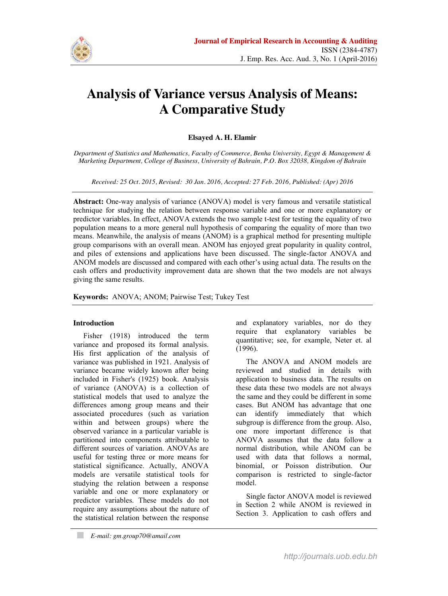

# **Analysis of Variance versus Analysis of Means: A Comparative Study**

# **Elsayed A. H. Elamir**

*Department of Statistics and Mathematics, Faculty of Commerce, Benha University, Egypt & Management & Marketing Department, College of Business, University of Bahrain, P.O. Box 32038, Kingdom of Bahrain*

*Received: 25 Oct. 2015, Revised: 30 Jan. 2016, Accepted: 27 Feb. 2016, Published: (Apr) 2016*

**Abstract:** One-way analysis of variance (ANOVA) model is very famous and versatile statistical technique for studying the relation between response variable and one or more explanatory or predictor variables. In effect, ANOVA extends the two sample t-test for testing the equality of two population means to a more general null hypothesis of comparing the equality of more than two means. Meanwhile, the analysis of means (ANOM) is a graphical method for presenting multiple group comparisons with an overall mean. ANOM has enjoyed great popularity in quality control, and piles of extensions and applications have been discussed. The single-factor ANOVA and ANOM models are discussed and compared with each other"s using actual data. The results on the cash offers and productivity improvement data are shown that the two models are not always giving the same results.

**Keywords:** ANOVA; ANOM; Pairwise Test; Tukey Test

### **Introduction**

Fisher (1918) introduced the term variance and proposed its formal analysis. His first application of the analysis of variance was published in 1921. Analysis of variance became widely known after being included in Fisher's (1925) book. Analysis of variance (ANOVA) is a collection of statistical models that used to analyze the differences among group means and their associated procedures (such as variation within and between groups) where the observed variance in a particular variable is partitioned into components attributable to different sources of variation. ANOVAs are useful for testing three or more means for statistical significance. Actually, ANOVA models are versatile statistical tools for studying the relation between a response variable and one or more explanatory or predictor variables. These models do not require any assumptions about the nature of the statistical relation between the response and explanatory variables, nor do they require that explanatory variables be quantitative; see, for example, Neter et. al (1996).

The ANOVA and ANOM models are reviewed and studied in details with application to business data. The results on these data these two models are not always the same and they could be different in some cases. But ANOM has advantage that one can identify immediately that which subgroup is difference from the group. Also, one more important difference is that ANOVA assumes that the data follow a normal distribution, while ANOM can be used with data that follows a normal, binomial, or Poisson distribution. Our comparison is restricted to single-factor model.

Single factor ANOVA model is reviewed in Section 2 while ANOM is reviewed in Section 3. Application to cash offers and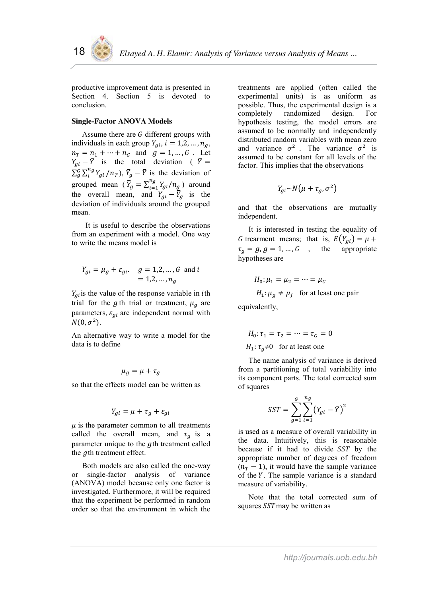productive improvement data is presented in Section 4. Section 5 is devoted to conclusion.

# **Single-Factor ANOVA Models**

Assume there are  $G$  different groups with individuals in each group  $Y_{ai}$ ,  $i = 1, 2, ..., n_a$ ,  $n_T = n_1 + \dots + n_G$  and  $g = 1, ..., G$ . Let  $Y_{gi} - \overline{Y}$  is the total deviation (  $\overline{Y} =$  $\sum_{g}^{G} \sum_{i}^{n_g} Y_{gi} / n_T$ ,  $\overline{Y}_g - \overline{Y}$  is the deviation of grouped mean  $(\bar{Y}_g = \sum_{i=1}^{n_g} Y_{gi}/n_g)$  around the overall mean, and  $Y_{gi} - \overline{Y}_g$  is the deviation of individuals around the grouped mean.

It is useful to describe the observations from an experiment with a model. One way to write the means model is

$$
Y_{gi} = \mu_g + \varepsilon_{gi}
$$
.  $g = 1, 2, ..., G$  and  $i = 1, 2, ..., n_g$ 

 $Y_{gi}$  is the value of the response variable in *i*th trial for the g th trial or treatment,  $\mu_g$  are parameters,  $\varepsilon_{ai}$  are independent normal with  $N(0, \sigma^2)$ .

An alternative way to write a model for the data is to define

$$
\mu_g = \mu + \tau_g
$$

so that the effects model can be written as

$$
Y_{gi} = \mu + \tau_g + \varepsilon_{gi}
$$

 $\mu$  is the parameter common to all treatments called the overall mean, and  $\tau_g$  is a parameter unique to the gth treatment called the  $g$ th treatment effect.

Both models are also called the one-way or single-factor analysis of variance (ANOVA) model because only one factor is investigated. Furthermore, it will be required that the experiment be performed in random order so that the environment in which the

treatments are applied (often called the experimental units) is as uniform as possible. Thus, the experimental design is a completely randomized design. For hypothesis testing, the model errors are assumed to be normally and independently distributed random variables with mean zero and variance  $\sigma^2$ . The variance  $\sigma^2$  is assumed to be constant for all levels of the factor. This implies that the observations

$$
Y_{gi} \sim N(\mu + \tau_g, \sigma^2)
$$

and that the observations are mutually independent.

It is interested in testing the equality of G trearment means; that is,  $E(Y_{gi}) = \mu +$  $\tau_g = g, g = 1, ..., G$ , the appropriate hypotheses are

$$
H_0: \mu_1 = \mu_2 = \dots = \mu_G
$$
  

$$
H_1: \mu_g \neq \mu_j \text{ for at least one pair}
$$

equivalently,

$$
H_0: \tau_1 = \tau_2 = \dots = \tau_G = 0
$$
  

$$
H_1: \tau_g \neq 0 \quad \text{for at least one}
$$

The name analysis of variance is derived from a partitioning of total variability into its component parts. The total corrected sum of squares

$$
SST = \sum_{g=1}^{G} \sum_{i=1}^{n_g} (Y_{gi} - \overline{Y})^2
$$

is used as a measure of overall variability in the data. Intuitively, this is reasonable because if it had to divide SST by the appropriate number of degrees of freedom  $(n_T - 1)$ , it would have the sample variance of the  $Y$ . The sample variance is a standard measure of variability.

Note that the total corrected sum of squares  $SST$ may be written as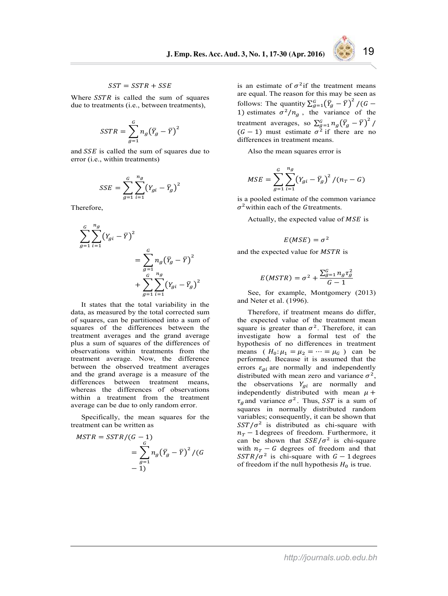#### $SST = SSTR + SSE$

Where  $SSTR$  is called the sum of squares due to treatments (i.e., between treatments),

$$
SSTR = \sum_{g=1}^{G} n_g (\bar{Y}_g - \bar{Y})^2
$$

and  $SSE$  is called the sum of squares due to error (i.e., within treatments)

$$
SSE = \sum_{g=1}^{G} \sum_{i=1}^{n_g} (Y_{gi} - \bar{Y}_g)^2
$$

Therefore,

$$
\sum_{g=1}^{G} \sum_{i=1}^{n_g} (Y_{gi} - \overline{Y})^2
$$
  
= 
$$
\sum_{g=1}^{G} n_g (\overline{Y}_g - \overline{Y})^2
$$
  
+ 
$$
\sum_{g=1}^{G} \sum_{i=1}^{n_g} (Y_{gi} - \overline{Y}_g)^2
$$

It states that the total variability in the data, as measured by the total corrected sum of squares, can be partitioned into a sum of squares of the differences between the treatment averages and the grand average plus a sum of squares of the differences of observations within treatments from the treatment average. Now, the difference between the observed treatment averages and the grand average is a measure of the differences between treatment means, whereas the differences of observations within a treatment from the treatment average can be due to only random error.

Specifically, the mean squares for the treatment can be written as

$$
MSTR = SSTR/(G - 1)
$$
  
= 
$$
\sum_{g=1}^{G} n_g (\bar{Y}_g - \bar{Y})^2 / (G - 1)
$$
  
- 1)

is an estimate of  $\sigma^2$  if the treatment means are equal. The reason for this may be seen as follows: The quantity  $\sum_{g=1}^{G} (\overline{Y}_g - \overline{Y})^2 / (G)$ 1) estimates  $\sigma^2/n_g$ , the variance of the treatment averages, so  $\sum_{g=1}^{G} n_g (\bar{Y}_g - \bar{Y})^2$  $(G - 1)$  must estimate  $\sigma^2$  if there are no differences in treatment means.

Also the mean squares error is

$$
MSE = \sum_{g=1}^{G} \sum_{i=1}^{n_g} (Y_{gi} - \overline{Y}_g)^2 / (n_T - G)
$$

is a pooled estimate of the common variance  $\sigma^2$  within each of the Gtreatments.

Actually, the expected value of  $MSE$  is

$$
E(MSE)=\sigma^2
$$

and the expected value for MSTR is

$$
E(MSTR) = \sigma^2 + \frac{\sum_{g=1}^{G} n_g \tau_g^2}{G - 1}
$$

See, for example, Montgomery (2013) and Neter et al. (1996).

Therefore, if treatment means do differ, the expected value of the treatment mean square is greater than  $\sigma^2$ . Therefore, it can investigate how a formal test of the hypothesis of no differences in treatment means ( $H_0: \mu_1 = \mu_2 = \cdots = \mu_G$ ) can be performed. Because it is assumed that the errors  $\varepsilon_{qi}$  are normally and independently distributed with mean zero and variance  $\sigma^2$ , the observations  $Y_{gi}$  are normally and independently distributed with mean  $\mu$  +  $\tau_a$  and variance  $\sigma^2$ . Thus, SST is a sum of squares in normally distributed random variables; consequently, it can be shown that  $SST/\sigma^2$  is distributed as chi-square with  $n_T$  – 1 degrees of freedom. Furthermore, it can be shown that  $SSE/\sigma^2$  is chi-square with  $n_T - G$  degrees of freedom and that  $SSTR/\sigma^2$  is chi-square with  $G-1$  degrees of freedom if the null hypothesis  $H_0$  is true.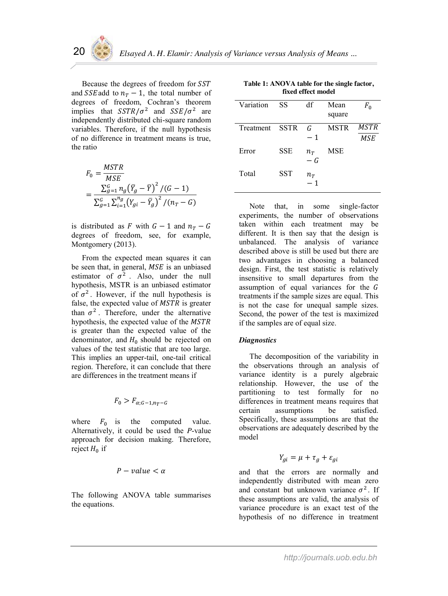Because the degrees of freedom for SST and SSE add to  $n_T - 1$ , the total number of degrees of freedom, Cochran"s theorem implies that  $SSTR/\sigma^2$  and  $SSE/\sigma^2$  are independently distributed chi-square random variables. Therefore, if the null hypothesis of no difference in treatment means is true, the ratio

$$
F_0 = \frac{MSTR}{MSE}
$$
  
= 
$$
\frac{\sum_{g=1}^{G} n_g (\bar{Y}_g - \bar{Y})^2 / (G - 1)}{\sum_{g=1}^{G} \sum_{i=1}^{n_g} (Y_{gi} - \bar{Y}_g)^2 / (n_T - G)}
$$

is distributed as F with  $G-1$  and  $n_T - G$ degrees of freedom, see, for example, Montgomery (2013).

From the expected mean squares it can be seen that, in general,  $MSE$  is an unbiased estimator of  $\sigma^2$ . Also, under the null hypothesis, MSTR is an unbiased estimator of  $\sigma^2$ . However, if the null hypothesis is false, the expected value of  $MSTR$  is greater than  $\sigma^2$ . Therefore, under the alternative hypothesis, the expected value of the MSTR is greater than the expected value of the denominator, and  $H_0$  should be rejected on values of the test statistic that are too large. This implies an upper-tail, one-tail critical region. Therefore, it can conclude that there are differences in the treatment means if

$$
F_0 > F_{\alpha; G-1, n_T-G}
$$

where  $F_0$  is the computed value. Alternatively, it could be used the *P*-value approach for decision making. Therefore, reject  $H_0$  if

$$
P-value < \alpha
$$

The following ANOVA table summarises the equations.

|           | fixed effect model |                                   |                |                           |  |
|-----------|--------------------|-----------------------------------|----------------|---------------------------|--|
| Variation | SS                 | df                                | Mean<br>square | $F_0$                     |  |
| Treatment | <b>SSTR</b>        | G<br>$-1$                         | <b>MSTR</b>    | <b>MSTR</b><br><b>MSE</b> |  |
| Error     | <b>SSE</b>         | $n_T$<br>$-G$                     | MSE            |                           |  |
| Total     | SST                | $n_{\scriptscriptstyle T}$<br>- 1 |                |                           |  |

**Table 1: ANOVA table for the single factor,** 

Note that, in some single-factor experiments, the number of observations taken within each treatment may be different. It is then say that the design is unbalanced. The analysis of variance described above is still be used but there are two advantages in choosing a balanced design. First, the test statistic is relatively insensitive to small departures from the assumption of equal variances for the G treatments if the sample sizes are equal. This is not the case for unequal sample sizes. Second, the power of the test is maximized if the samples are of equal size.

# *Diagnostics*

The decomposition of the variability in the observations through an analysis of variance identity is a purely algebraic relationship. However, the use of the partitioning to test formally for no differences in treatment means requires that certain assumptions be satisfied. Specifically, these assumptions are that the observations are adequately described by the model

$$
Y_{gi} = \mu + \tau_g + \varepsilon_{gi}
$$

and that the errors are normally and independently distributed with mean zero and constant but unknown variance  $\sigma^2$ . If these assumptions are valid, the analysis of variance procedure is an exact test of the hypothesis of no difference in treatment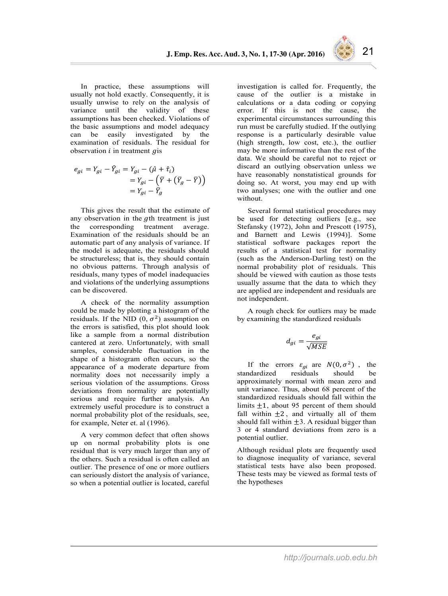In practice, these assumptions will usually not hold exactly. Consequently, it is usually unwise to rely on the analysis of variance until the validity of these assumptions has been checked. Violations of the basic assumptions and model adequacy can be easily investigated by the examination of residuals. The residual for observation  $i$  in treatment  $q$  is

$$
e_{gi} = Y_{gi} - \hat{Y}_{gi} = Y_{gi} - (\hat{\mu} + \hat{\tau}_i)
$$
  
=  $Y_{gi} - (\bar{Y} + (\bar{Y}_g - \bar{Y}))$   
=  $Y_{gi} - \bar{Y}_g$ 

This gives the result that the estimate of any observation in the  $a$ th treatment is just the corresponding treatment average. Examination of the residuals should be an automatic part of any analysis of variance. If the model is adequate, the residuals should be structureless; that is, they should contain no obvious patterns. Through analysis of residuals, many types of model inadequacies and violations of the underlying assumptions can be discovered.

A check of the normality assumption could be made by plotting a histogram of the residuals. If the NID  $(0, \sigma^2)$  assumption on the errors is satisfied, this plot should look like a sample from a normal distribution cantered at zero. Unfortunately, with small samples, considerable fluctuation in the shape of a histogram often occurs, so the appearance of a moderate departure from normality does not necessarily imply a serious violation of the assumptions. Gross deviations from normality are potentially serious and require further analysis. An extremely useful procedure is to construct a normal probability plot of the residuals, see, for example, Neter et. al (1996).

A very common defect that often shows up on normal probability plots is one residual that is very much larger than any of the others. Such a residual is often called an outlier. The presence of one or more outliers can seriously distort the analysis of variance, so when a potential outlier is located, careful investigation is called for. Frequently, the cause of the outlier is a mistake in calculations or a data coding or copying error. If this is not the cause, the experimental circumstances surrounding this run must be carefully studied. If the outlying response is a particularly desirable value (high strength, low cost, etc.), the outlier may be more informative than the rest of the data. We should be careful not to reject or discard an outlying observation unless we have reasonably nonstatistical grounds for doing so. At worst, you may end up with two analyses; one with the outlier and one without.

Several formal statistical procedures may be used for detecting outliers [e.g., see Stefansky (1972), John and Prescott (1975), and Barnett and Lewis (1994)]. Some statistical software packages report the results of a statistical test for normality (such as the Anderson-Darling test) on the normal probability plot of residuals. This should be viewed with caution as those tests usually assume that the data to which they are applied are independent and residuals are not independent.

A rough check for outliers may be made by examining the standardized residuals

$$
d_{gi} = \frac{e_{gi}}{\sqrt{MSE}}
$$

If the errors  $\varepsilon_{gi}$  are  $N(0, \sigma^2)$ , the ndardized residuals should be standardized approximately normal with mean zero and unit variance. Thus, about 68 percent of the standardized residuals should fall within the limits  $\pm 1$ , about 95 percent of them should fall within  $\pm 2$ , and virtually all of them should fall within  $\pm 3$ . A residual bigger than 3 or 4 standard deviations from zero is a potential outlier.

Although residual plots are frequently used to diagnose inequality of variance, several statistical tests have also been proposed. These tests may be viewed as formal tests of the hypotheses

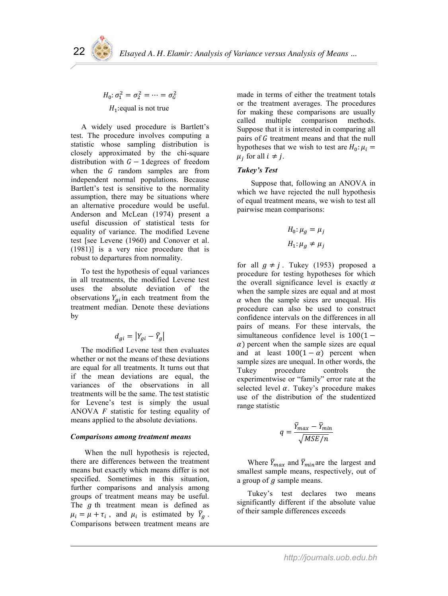# $H_0: \sigma_1^2 = \sigma_2^2 = \cdots = \sigma_G^2$  $H_1$ : equal is not true

A widely used procedure is Bartlett's test. The procedure involves computing a statistic whose sampling distribution is closely approximated by the chi-square distribution with  $G-1$  degrees of freedom when the  $G$  random samples are from independent normal populations. Because Bartlett's test is sensitive to the normality assumption, there may be situations where an alternative procedure would be useful. Anderson and McLean (1974) present a useful discussion of statistical tests for equality of variance. The modified Levene test [see Levene (1960) and Conover et al. (1981)] is a very nice procedure that is robust to departures from normality.

To test the hypothesis of equal variances in all treatments, the modified Levene test uses the absolute deviation of the observations  $Y_{ai}$  in each treatment from the treatment median. Denote these deviations by

$$
d_{gi} = \left| Y_{gi} - \tilde{Y}_g \right|
$$

The modified Levene test then evaluates whether or not the means of these deviations are equal for all treatments. It turns out that if the mean deviations are equal, the variances of the observations in all treatments will be the same. The test statistic for Levene"s test is simply the usual ANOVA *F* statistic for testing equality of means applied to the absolute deviations.

# *Comparisons among treatment means*

When the null hypothesis is rejected, there are differences between the treatment means but exactly which means differ is not specified. Sometimes in this situation, further comparisons and analysis among groups of treatment means may be useful. The  $g$  th treatment mean is defined as  $\mu_i = \mu + \tau_i$ , and  $\mu_i$  is estimated by  $\bar{Y}_g$ . Comparisons between treatment means are

made in terms of either the treatment totals or the treatment averages. The procedures for making these comparisons are usually called multiple comparison methods. Suppose that it is interested in comparing all pairs of G treatment means and that the null hypotheses that we wish to test are  $H_0: \mu_i =$  $\mu_i$  for all  $i \neq j$ .

# *Tukey's Test*

Suppose that, following an ANOVA in which we have rejected the null hypothesis of equal treatment means, we wish to test all pairwise mean comparisons:

$$
H_0: \mu_g = \mu_j
$$
  

$$
H_1: \mu_g \neq \mu_j
$$

for all  $q \neq j$ . Tukey (1953) proposed a procedure for testing hypotheses for which the overall significance level is exactly  $\alpha$ when the sample sizes are equal and at most  $\alpha$  when the sample sizes are unequal. His procedure can also be used to construct confidence intervals on the differences in all pairs of means. For these intervals, the simultaneous confidence level is  $100(1 \alpha$ ) percent when the sample sizes are equal and at least  $100(1 - \alpha)$  percent when sample sizes are unequal. In other words, the Tukey procedure controls the experimentwise or "family" error rate at the selected level  $\alpha$ . Tukey's procedure makes use of the distribution of the studentized range statistic

$$
q = \frac{\bar{Y}_{max} - \bar{Y}_{min}}{\sqrt{MSE/n}}
$$

Where  $\bar{Y}_{max}$  and  $\bar{Y}_{min}$  are the largest and smallest sample means, respectively, out of a group of  $q$  sample means.

Tukey"s test declares two means significantly different if the absolute value of their sample differences exceeds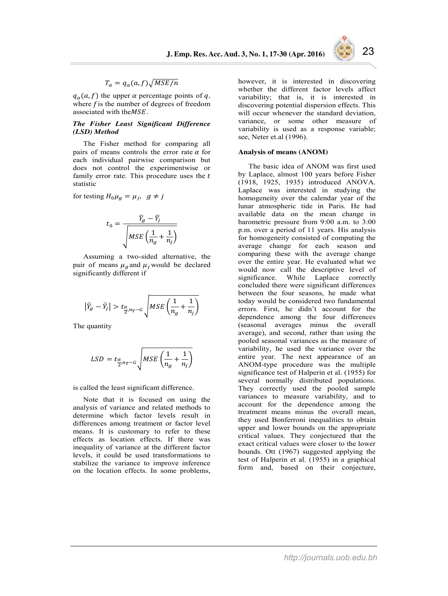

# $T_{\alpha} = q_{\alpha}(a, f)\sqrt{MSE/n}$

 $q_{\alpha}(a, f)$  the upper  $\alpha$  percentage points of *q*, where  $f$  is the number of degrees of freedom associated with the  $MSE$ .

#### *The Fisher Least Significant Difference (LSD) Method*

The Fisher method for comparing all pairs of means controls the error rate  $\alpha$  for each individual pairwise comparison but does not control the experimentwise or family error rate. This procedure uses the  $t$ statistic

for testing  $H_0\mu_q = \mu_i$ ,  $q \neq j$ 

$$
t_0 = \frac{\overline{Y}_g - \overline{Y}_j}{\sqrt{MSE\left(\frac{1}{n_g} + \frac{1}{n_j}\right)}}
$$

Assuming a two-sided alternative, the pair of means  $\mu_a$  and  $\mu_i$  would be declared significantly different if

$$
\left|\bar{Y}_g - \bar{Y}_j\right| > t_{\frac{\alpha}{2}, n_T - G} \sqrt{MSE\left(\frac{1}{n_g} + \frac{1}{n_j}\right)}
$$

The quantity

$$
LSD = t_{\frac{\alpha}{2}, n_T - G} \sqrt{MSE\left(\frac{1}{n_g} + \frac{1}{n_j}\right)}
$$

is called the least significant difference.

Note that it is focused on using the analysis of variance and related methods to determine which factor levels result in differences among treatment or factor level means. It is customary to refer to these effects as location effects. If there was inequality of variance at the different factor levels, it could be used transformations to stabilize the variance to improve inference on the location effects. In some problems, however, it is interested in discovering whether the different factor levels affect variability; that is, it is interested in discovering potential dispersion effects. This will occur whenever the standard deviation, variance, or some other measure of variability is used as a response variable; see, Neter et.al (1996).

#### **Analysis of means (ANOM)**

The basic idea of ANOM was first used by Laplace, almost 100 years before Fisher (1918, 1925, 1935) introduced ANOVA. Laplace was interested in studying the homogeneity over the calendar year of the lunar atmospheric tide in Paris. He had available data on the mean change in barometric pressure from 9:00 a.m. to 3:00 p.m. over a period of 11 years. His analysis for homogeneity consisted of computing the average change for each season and comparing these with the average change over the entire year. He evaluated what we would now call the descriptive level of significance. While Laplace correctly concluded there were significant differences between the four seasons, he made what today would be considered two fundamental errors. First, he didn"t account for the dependence among the four differences (seasonal averages minus the overall average), and second, rather than using the pooled seasonal variances as the measure of variability, he used the variance over the entire year. The next appearance of an ANOM-type procedure was the multiple significance test of Halperin et al. (1955) for several normally distributed populations. They correctly used the pooled sample variances to measure variability, and to account for the dependence among the treatment means minus the overall mean, they used Bonferroni inequalities to obtain upper and lower bounds on the appropriate critical values. They conjectured that the exact critical values were closer to the lower bounds. Ott (1967) suggested applying the test of Halperin et al. (1955) in a graphical form and, based on their conjecture,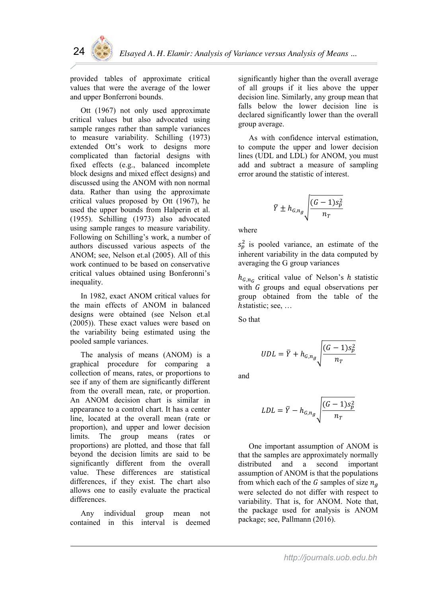

provided tables of approximate critical values that were the average of the lower and upper Bonferroni bounds.

Ott (1967) not only used approximate critical values but also advocated using sample ranges rather than sample variances to measure variability. Schilling (1973) extended Ott"s work to designs more complicated than factorial designs with fixed effects (e.g., balanced incomplete block designs and mixed effect designs) and discussed using the ANOM with non normal data. Rather than using the approximate critical values proposed by Ott (1967), he used the upper bounds from Halperin et al. (1955). Schilling (1973) also advocated using sample ranges to measure variability. Following on Schilling"s work, a number of authors discussed various aspects of the ANOM; see, Nelson et.al (2005). All of this work continued to be based on conservative critical values obtained using Bonferonni"s inequality.

In 1982, exact ANOM critical values for the main effects of ANOM in balanced designs were obtained (see Nelson et.al (2005)). These exact values were based on the variability being estimated using the pooled sample variances.

The analysis of means (ANOM) is a graphical procedure for comparing a collection of means, rates, or proportions to see if any of them are significantly different from the overall mean, rate, or proportion. An ANOM decision chart is similar in appearance to a control chart. It has a center line, located at the overall mean (rate or proportion), and upper and lower decision limits. The group means (rates or proportions) are plotted, and those that fall beyond the decision limits are said to be significantly different from the overall value. These differences are statistical differences, if they exist. The chart also allows one to easily evaluate the practical differences.

Any individual group mean not contained in this interval is deemed significantly higher than the overall average of all groups if it lies above the upper decision line. Similarly, any group mean that falls below the lower decision line is declared significantly lower than the overall group average.

As with confidence interval estimation, to compute the upper and lower decision lines (UDL and LDL) for ANOM, you must add and subtract a measure of sampling error around the statistic of interest.

$$
\bar{Y} \pm h_{G,n_g} \sqrt{\frac{(G-1)s_p^2}{n_T}}
$$

where

 $s_p^2$  is pooled variance, an estimate of the inherent variability in the data computed by averaging the G group variances

 $h_{G,n_G}$  critical value of Nelson's h statistic with  $G$  groups and equal observations per group obtained from the table of the hstatistic; see, ...

So that

$$
UDL = \overline{Y} + h_{G,n_g} \sqrt{\frac{(G-1)s_p^2}{n_T}}
$$

and

$$
LDL = \overline{Y} - h_{G,n_g} \sqrt{\frac{(G-1)s_p^2}{n_T}}
$$

One important assumption of ANOM is that the samples are approximately normally distributed and a second important assumption of ANOM is that the populations from which each of the G samples of size  $n_a$ were selected do not differ with respect to variability. That is, for ANOM. Note that, the package used for analysis is ANOM package; see, Pallmann (2016).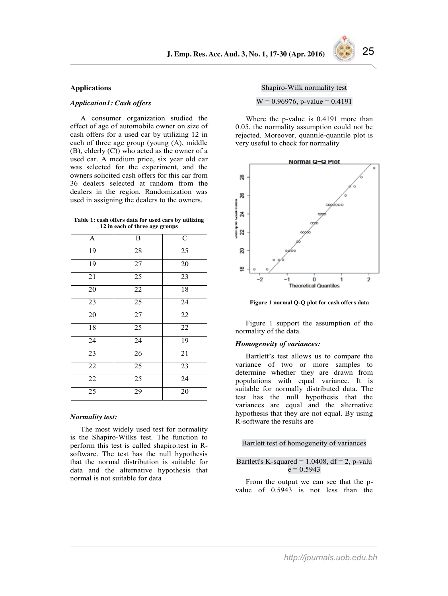### **Applications**

### *Application1: Cash offers*

A consumer organization studied the effect of age of automobile owner on size of cash offers for a used car by utilizing 12 in each of three age group (young (A), middle (B), elderly (C)) who acted as the owner of a used car. A medium price, six year old car was selected for the experiment, and the owners solicited cash offers for this car from 36 dealers selected at random from the dealers in the region. Randomization was used in assigning the dealers to the owners.

|  | Table 1: cash offers data for used cars by utilizing |  |
|--|------------------------------------------------------|--|
|  | <b>12 in each of three age groups</b>                |  |

| A               | B      | $\mathsf{C}$ |
|-----------------|--------|--------------|
| $1\overline{9}$ | 28     | 25           |
| 19              | 27     | 20           |
| 21              | 25     | 23           |
| 20              | $22\,$ | 18           |
| 23              | 25     | 24           |
| 20              | $27\,$ | 22           |
| 18              | 25     | 22           |
| $\overline{24}$ | 24     | 19           |
| 23              | 26     | 21           |
| 22              | 25     | 23           |
| 22              | 25     | 24           |
| 25              | 29     | 20           |

#### *Normality test:*

The most widely used test for normality is the Shapiro-Wilks test. The function to perform this test is called shapiro.test in Rsoftware. The test has the null hypothesis that the normal distribution is suitable for data and the alternative hypothesis that normal is not suitable for data

Shapiro-Wilk normality test

 $W = 0.96976$ , p-value = 0.4191

Where the p-value is 0.4191 more than 0.05, the normality assumption could not be rejected. Moreover, quantile-quantile plot is very useful to check for normality



**Figure 1 normal Q-Q plot for cash offers data**

Figure 1 support the assumption of the normality of the data.

#### *Homogeneity of variances:*

Bartlett's test allows us to compare the variance of two or more samples to determine whether they are drawn from populations with equal variance. It is suitable for normally distributed data. The test has the null hypothesis that the variances are equal and the alternative hypothesis that they are not equal. By using R-software the results are

### Bartlett test of homogeneity of variances

## Bartlett's K-squared =  $1.0408$ , df =  $2$ , p-valu  $e = 0.5943$

From the output we can see that the pvalue of 0.5943 is not less than the

*http://journals.uob.edu.bh*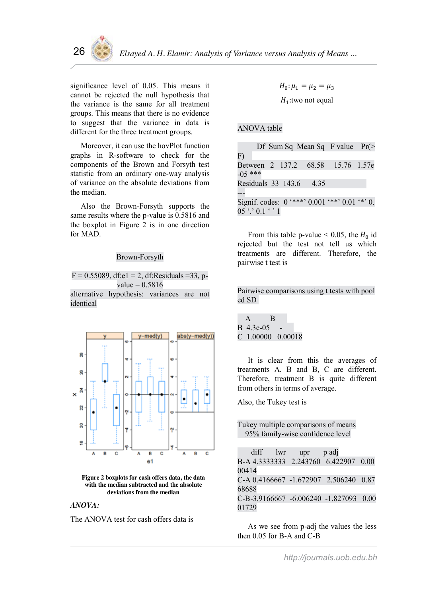

significance level of 0.05. This means it cannot be rejected the null hypothesis that the variance is the same for all treatment groups. This means that there is no evidence to suggest that the variance in data is different for the three treatment groups.

Moreover, it can use the hovPlot function graphs in R-software to check for the components of the Brown and Forsyth test statistic from an ordinary one-way analysis of variance on the absolute deviations from the median.

Also the Brown-Forsyth supports the same results where the p-value is 0.5816 and the boxplot in Figure 2 is in one direction for MAD.

# Brown-Forsyth

 $F = 0.55089$ , df:e1 = 2, df:Residuals = 33, p $value = 0.5816$ 

alternative hypothesis: variances are not identical



**Figure 2 boxplots for cash offers data, the data with the median subtracted and the absolute deviations from the median**

# *ANOVA:*

The ANOVA test for cash offers data is

 $H_0: \mu_1 = \mu_2 = \mu_3$  $H_1$ : two not equal

# ANOVA table

|           |                                    |                         | Df Sum Sq Mean Sq F value $Pr(>$                    |  |
|-----------|------------------------------------|-------------------------|-----------------------------------------------------|--|
| F)        |                                    |                         |                                                     |  |
|           |                                    |                         | Between 2 137.2 68.58 15.76 1.57e                   |  |
| $-05$ *** |                                    |                         |                                                     |  |
|           |                                    | Residuals 33 143.6 4.35 |                                                     |  |
|           |                                    |                         |                                                     |  |
|           |                                    |                         | Signif. codes: $0$ '***' $0.001$ '**' $0.01$ '*' 0. |  |
|           | $05$ $\degree$ $0.1$ $\degree$ $1$ |                         |                                                     |  |

From this table p-value  $< 0.05$ , the  $H_0$  id rejected but the test not tell us which treatments are different. Therefore, the pairwise t test is

Pairwise comparisons using t tests with pool ed SD

| A                   | B |  |
|---------------------|---|--|
| B 4.3e-05           |   |  |
| $C$ 1.00000 0.00018 |   |  |

It is clear from this the averages of treatments A, B and B, C are different. Therefore, treatment B is quite different from others in terms of average.

Also, the Tukey test is

Tukey multiple comparisons of means 95% family-wise confidence level

|       | diff | lwr upr p ad |                                        |  |
|-------|------|--------------|----------------------------------------|--|
|       |      |              | B-A 4.3333333 2.243760 6.422907 0.00   |  |
| 00414 |      |              |                                        |  |
|       |      |              | C-A 0.4166667 -1.672907 2.506240 0.87  |  |
| 68688 |      |              |                                        |  |
|       |      |              | C-B-3.9166667 -6.006240 -1.827093 0.00 |  |
| 01729 |      |              |                                        |  |

As we see from p-adj the values the less then 0.05 for B-A and C-B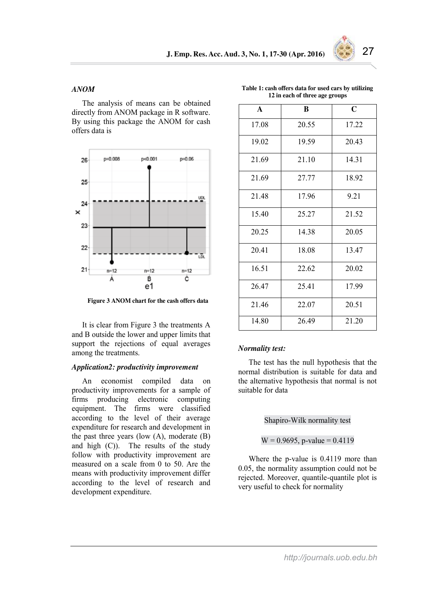

# *ANOM*

The analysis of means can be obtained directly from ANOM package in R software. By using this package the ANOM for cash offers data is



**Figure 3 ANOM chart for the cash offers data**

It is clear from Figure 3 the treatments A and B outside the lower and upper limits that support the rejections of equal averages among the treatments.

# *Application2: productivity improvement*

An economist compiled data on productivity improvements for a sample of firms producing electronic computing equipment. The firms were classified according to the level of their average expenditure for research and development in the past three years (low  $(A)$ , moderate  $(B)$ ) and high (C)). The results of the study follow with productivity improvement are measured on a scale from 0 to 50. Are the means with productivity improvement differ according to the level of research and development expenditure.

|  | Table 1: cash offers data for used cars by utilizing |  |
|--|------------------------------------------------------|--|
|  | 12 in each of three age groups                       |  |

| $\mathbf{A}$ | B     | $\mathbf C$ |
|--------------|-------|-------------|
| 17.08        | 20.55 | 17.22       |
| 19.02        | 19.59 | 20.43       |
| 21.69        | 21.10 | 14.31       |
| 21.69        | 27.77 | 18.92       |
| 21.48        | 17.96 | 9.21        |
| 15.40        | 25.27 | 21.52       |
| 20.25        | 14.38 | 20.05       |
| 20.41        | 18.08 | 13.47       |
| 16.51        | 22.62 | 20.02       |
| 26.47        | 25.41 | 17.99       |
| 21.46        | 22.07 | 20.51       |
| 14.80        | 26.49 | 21.20       |

### *Normality test:*

The test has the null hypothesis that the normal distribution is suitable for data and the alternative hypothesis that normal is not suitable for data

## Shapiro-Wilk normality test

 $W = 0.9695$ , p-value = 0.4119

Where the p-value is 0.4119 more than 0.05, the normality assumption could not be rejected. Moreover, quantile-quantile plot is very useful to check for normality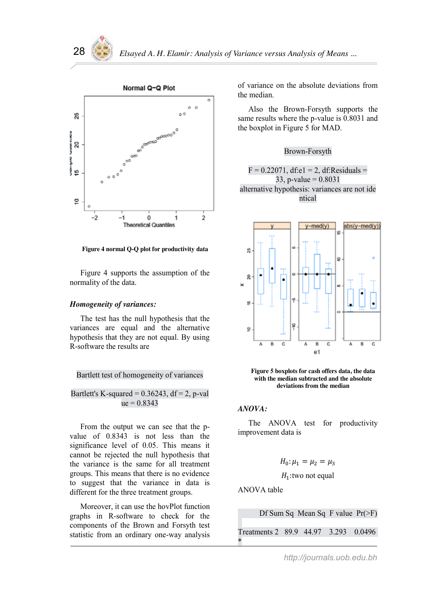

**Figure 4 normal Q-Q plot for productivity data**

Figure 4 supports the assumption of the normality of the data.

### *Homogeneity of variances:*

The test has the null hypothesis that the variances are equal and the alternative hypothesis that they are not equal. By using R-software the results are

### Bartlett test of homogeneity of variances

Bartlett's K-squared =  $0.36243$ , df = 2, p-val  $ue = 0.8343$ 

From the output we can see that the pvalue of 0.8343 is not less than the significance level of 0.05. This means it cannot be rejected the null hypothesis that the variance is the same for all treatment groups. This means that there is no evidence to suggest that the variance in data is different for the three treatment groups.

Moreover, it can use the hovPlot function graphs in R-software to check for the components of the Brown and Forsyth test statistic from an ordinary one-way analysis

of variance on the absolute deviations from the median.

Also the Brown-Forsyth supports the same results where the p-value is 0.8031 and the boxplot in Figure 5 for MAD.

# Brown-Forsyth

 $F = 0.22071$ , df:e1 = 2, df:Residuals = 33, p-value =  $0.8031$ alternative hypothesis: variances are not ide ntical





### *ANOVA:*

The ANOVA test for productivity improvement data is

$$
H_0: \mu_1=\mu_2=\mu_3
$$

 $H_1$ : two not equal

ANOVA table

Df Sum Sq Mean Sq F value Pr(>F)

Treatments 2 89.9 44.97 3.293 0.0496 \*

# *http://journals.uob.edu.bh*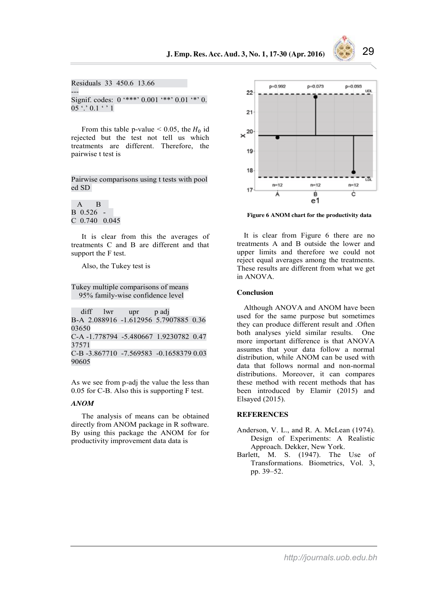

Residuals 33 450.6 13.66 --- Signif. codes:  $0$  '\*\*\*'  $0.001$  '\*\*'  $0.01$  '\*'  $0.$  $0.5$  '.'  $0.1$  '  $1$ 

From this table p-value  $< 0.05$ , the  $H_0$  id rejected but the test not tell us which treatments are different. Therefore, the pairwise t test is

Pairwise comparisons using t tests with pool ed SD

 A B B 0.526 - C 0.740 0.045

It is clear from this the averages of treatments C and B are different and that support the F test.

Also, the Tukey test is

Tukey multiple comparisons of means 95% family-wise confidence level

diff lwr upr p adj B-A 2.088916 -1.612956 5.7907885 0.36 03650 C-A -1.778794 -5.480667 1.9230782 0.47 37571 C-B -3.867710 -7.569583 -0.1658379 0.03 90605

As we see from p-adj the value the less than 0.05 for C-B. Also this is supporting F test.

### *ANOM*

The analysis of means can be obtained directly from ANOM package in R software. By using this package the ANOM for for productivity improvement data data is



**Figure 6 ANOM chart for the productivity data**

It is clear from Figure 6 there are no treatments A and B outside the lower and upper limits and therefore we could not reject equal averages among the treatments. These results are different from what we get in ANOVA.

#### **Conclusion**

Although ANOVA and ANOM have been used for the same purpose but sometimes they can produce different result and .Often both analyses yield similar results. One more important difference is that ANOVA assumes that your data follow a normal distribution, while ANOM can be used with data that follows normal and non-normal distributions. Moreover, it can compares these method with recent methods that has been introduced by Elamir (2015) and Elsayed (2015).

#### **REFERENCES**

- Anderson, V. L., and R. A. McLean (1974). Design of Experiments: A Realistic Approach. Dekker, New York.
- Barlett, M. S. (1947). The Use of Transformations. Biometrics, Vol. 3, pp. 39–52.